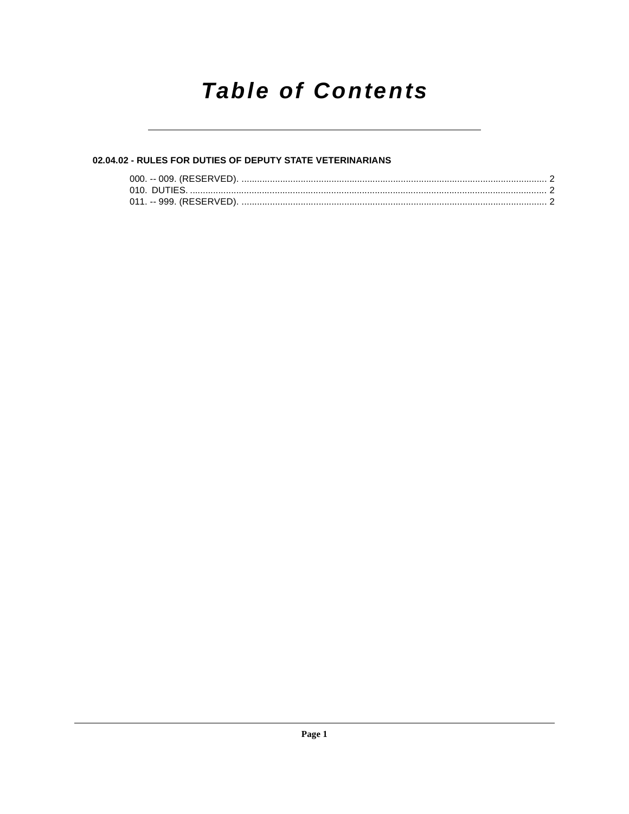## **Table of Contents**

### 02.04.02 - RULES FOR DUTIES OF DEPUTY STATE VETERINARIANS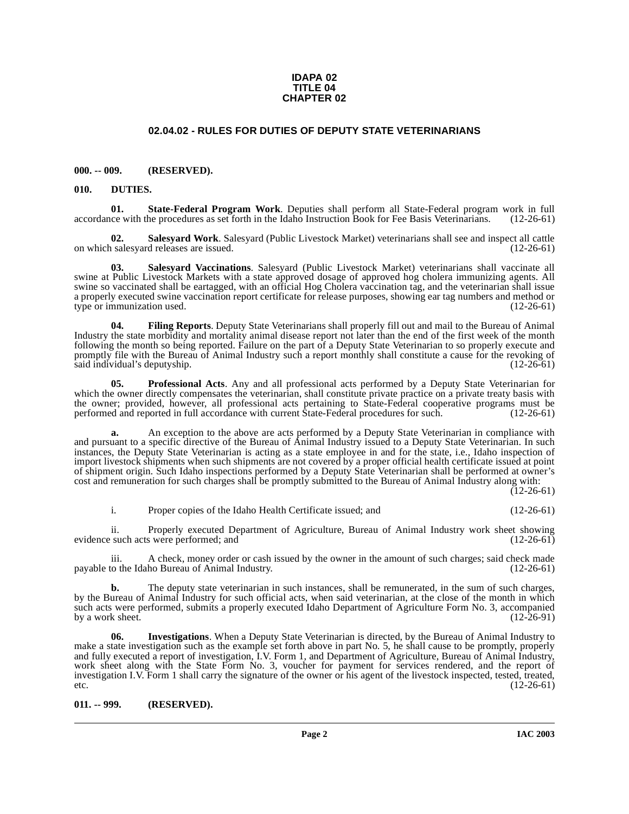#### **IDAPA 02 TITLE 04 CHAPTER 02**

#### <span id="page-1-10"></span>**02.04.02 - RULES FOR DUTIES OF DEPUTY STATE VETERINARIANS**

#### <span id="page-1-1"></span><span id="page-1-0"></span>**000. -- 009. (RESERVED).**

#### <span id="page-1-4"></span><span id="page-1-2"></span>**010. DUTIES.**

**01.** State-Federal Program Work. Deputies shall perform all State-Federal program work in full ce with the procedures as set forth in the Idaho Instruction Book for Fee Basis Veterinarians. (12-26-61) accordance with the procedures as set forth in the Idaho Instruction Book for Fee Basis Veterinarians.

<span id="page-1-9"></span>**02. Salesyard Work**. Salesyard (Public Livestock Market) veterinarians shall see and inspect all cattle on which salesyard releases are issued.

<span id="page-1-8"></span>**03. Salesyard Vaccinations**. Salesyard (Public Livestock Market) veterinarians shall vaccinate all swine at Public Livestock Markets with a state approved dosage of approved hog cholera immunizing agents. All swine so vaccinated shall be eartagged, with an official Hog Cholera vaccination tag, and the veterinarian shall issue a properly executed swine vaccination report certificate for release purposes, showing ear tag numbers and method or type or immunization used. (12-26-61) type or immunization used.

<span id="page-1-5"></span>**04. Filing Reports**. Deputy State Veterinarians shall properly fill out and mail to the Bureau of Animal Industry the state morbidity and mortality animal disease report not later than the end of the first week of the month following the month so being reported. Failure on the part of a Deputy State Veterinarian to so properly execute and promptly file with the Bureau of Animal Industry such a report monthly shall constitute a cause for the revoking of said individual's deputyship. (12-26-61) said individual's deputyship.

<span id="page-1-7"></span>**05. Professional Acts**. Any and all professional acts performed by a Deputy State Veterinarian for which the owner directly compensates the veterinarian, shall constitute private practice on a private treaty basis with the owner; provided, however, all professional acts pertaining to State-Federal cooperative programs must be performed and reported in full accordance with current State-Federal procedures for such. (12-26-61)

**a.** An exception to the above are acts performed by a Deputy State Veterinarian in compliance with and pursuant to a specific directive of the Bureau of Animal Industry issued to a Deputy State Veterinarian. In such instances, the Deputy State Veterinarian is acting as a state employee in and for the state, i.e., Idaho inspection of import livestock shipments when such shipments are not covered by a proper official health certificate issued at point of shipment origin. Such Idaho inspections performed by a Deputy State Veterinarian shall be performed at owner's cost and remuneration for such charges shall be promptly submitted to the Bureau of Animal Industry along with:

 $(12-26-61)$ 

i. Proper copies of the Idaho Health Certificate issued; and (12-26-61)

ii. Properly executed Department of Agriculture, Bureau of Animal Industry work sheet showing evidence such acts were performed; and

iii. A check, money order or cash issued by the owner in the amount of such charges; said check made<br>to the Idaho Bureau of Animal Industry. (12-26-61) payable to the Idaho Bureau of Animal Industry.

**b.** The deputy state veterinarian in such instances, shall be remunerated, in the sum of such charges, by the Bureau of Animal Industry for such official acts, when said veterinarian, at the close of the month in which such acts were performed, submits a properly executed Idaho Department of Agriculture Form No. 3, accompanied<br>by a work sheet. (12-26-91) by a work sheet.

<span id="page-1-6"></span>**06. Investigations**. When a Deputy State Veterinarian is directed, by the Bureau of Animal Industry to make a state investigation such as the example set forth above in part No. 5, he shall cause to be promptly, properly and fully executed a report of investigation, I.V. Form 1, and Department of Agriculture, Bureau of Animal Industry, work sheet along with the State Form No. 3, voucher for payment for services rendered, and the report of investigation I.V. Form 1 shall carry the signature of the owner or his agent of the livestock inspected, tested, treated, etc. (12-26-61)

#### <span id="page-1-3"></span>**011. -- 999. (RESERVED).**